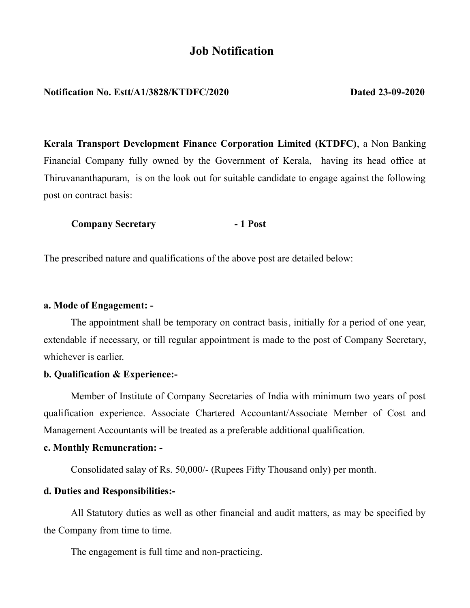# **Job Notification**

### **Notification No. Estt/A1/3828/KTDFC/2020 Dated 23-09-2020**

**Kerala Transport Development Finance Corporation Limited (KTDFC)**, a Non Banking Financial Company fully owned by the Government of Kerala, having its head office at Thiruvananthapuram, is on the look out for suitable candidate to engage against the following post on contract basis:

**Company Secretary - 1 Post**

The prescribed nature and qualifications of the above post are detailed below:

#### **a. Mode of Engagement: -**

The appointment shall be temporary on contract basis, initially for a period of one year, extendable if necessary, or till regular appointment is made to the post of Company Secretary, whichever is earlier.

#### **b. Qualification & Experience:-**

Member of Institute of Company Secretaries of India with minimum two years of post qualification experience. Associate Chartered Accountant/Associate Member of Cost and Management Accountants will be treated as a preferable additional qualification.

#### **c. Monthly Remuneration: -**

Consolidated salay of Rs. 50,000/- (Rupees Fifty Thousand only) per month.

#### **d. Duties and Responsibilities:-**

All Statutory duties as well as other financial and audit matters, as may be specified by the Company from time to time.

The engagement is full time and non-practicing.